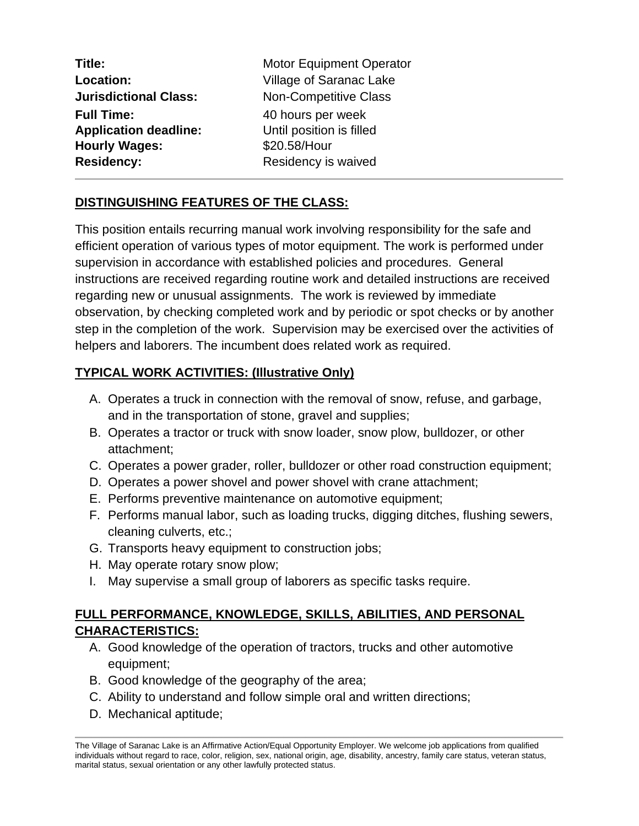| Title:                       | <b>Motor Equipment Operator</b> |
|------------------------------|---------------------------------|
| Location:                    | Village of Saranac Lake         |
| <b>Jurisdictional Class:</b> | <b>Non-Competitive Class</b>    |
| <b>Full Time:</b>            | 40 hours per week               |
| <b>Application deadline:</b> | Until position is filled        |
| <b>Hourly Wages:</b>         | \$20.58/Hour                    |
| <b>Residency:</b>            | Residency is waived             |
|                              |                                 |

## **DISTINGUISHING FEATURES OF THE CLASS:**

This position entails recurring manual work involving responsibility for the safe and efficient operation of various types of motor equipment. The work is performed under supervision in accordance with established policies and procedures. General instructions are received regarding routine work and detailed instructions are received regarding new or unusual assignments. The work is reviewed by immediate observation, by checking completed work and by periodic or spot checks or by another step in the completion of the work. Supervision may be exercised over the activities of helpers and laborers. The incumbent does related work as required.

## **TYPICAL WORK ACTIVITIES: (Illustrative Only)**

- A. Operates a truck in connection with the removal of snow, refuse, and garbage, and in the transportation of stone, gravel and supplies;
- B. Operates a tractor or truck with snow loader, snow plow, bulldozer, or other attachment;
- C. Operates a power grader, roller, bulldozer or other road construction equipment;
- D. Operates a power shovel and power shovel with crane attachment;
- E. Performs preventive maintenance on automotive equipment;
- F. Performs manual labor, such as loading trucks, digging ditches, flushing sewers, cleaning culverts, etc.;
- G. Transports heavy equipment to construction jobs;
- H. May operate rotary snow plow;
- I. May supervise a small group of laborers as specific tasks require.

## **FULL PERFORMANCE, KNOWLEDGE, SKILLS, ABILITIES, AND PERSONAL CHARACTERISTICS:**

- A. Good knowledge of the operation of tractors, trucks and other automotive equipment;
- B. Good knowledge of the geography of the area;
- C. Ability to understand and follow simple oral and written directions;
- D. Mechanical aptitude;

The Village of Saranac Lake is an Affirmative Action/Equal Opportunity Employer. We welcome job applications from qualified individuals without regard to race, color, religion, sex, national origin, age, disability, ancestry, family care status, veteran status, marital status, sexual orientation or any other lawfully protected status.